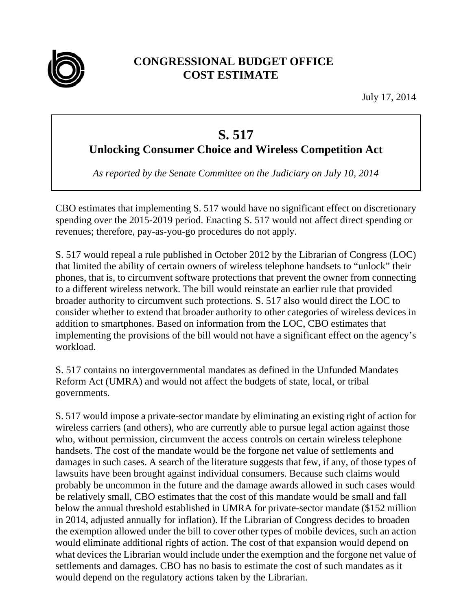

## **CONGRESSIONAL BUDGET OFFICE COST ESTIMATE**

July 17, 2014

## **S. 517**

**Unlocking Consumer Choice and Wireless Competition Act** 

*As reported by the Senate Committee on the Judiciary on July 10, 2014* 

CBO estimates that implementing S. 517 would have no significant effect on discretionary spending over the 2015-2019 period. Enacting S. 517 would not affect direct spending or revenues; therefore, pay-as-you-go procedures do not apply.

S. 517 would repeal a rule published in October 2012 by the Librarian of Congress (LOC) that limited the ability of certain owners of wireless telephone handsets to "unlock" their phones, that is, to circumvent software protections that prevent the owner from connecting to a different wireless network. The bill would reinstate an earlier rule that provided broader authority to circumvent such protections. S. 517 also would direct the LOC to consider whether to extend that broader authority to other categories of wireless devices in addition to smartphones. Based on information from the LOC, CBO estimates that implementing the provisions of the bill would not have a significant effect on the agency's workload.

S. 517 contains no intergovernmental mandates as defined in the Unfunded Mandates Reform Act (UMRA) and would not affect the budgets of state, local, or tribal governments.

 S. 517 would impose a private-sector mandate by eliminating an existing right of action for wireless carriers (and others), who are currently able to pursue legal action against those who, without permission, circumvent the access controls on certain wireless telephone handsets. The cost of the mandate would be the forgone net value of settlements and damages in such cases. A search of the literature suggests that few, if any, of those types of lawsuits have been brought against individual consumers. Because such claims would probably be uncommon in the future and the damage awards allowed in such cases would be relatively small, CBO estimates that the cost of this mandate would be small and fall below the annual threshold established in UMRA for private-sector mandate (\$152 million in 2014, adjusted annually for inflation). If the Librarian of Congress decides to broaden the exemption allowed under the bill to cover other types of mobile devices, such an action would eliminate additional rights of action. The cost of that expansion would depend on what devices the Librarian would include under the exemption and the forgone net value of settlements and damages. CBO has no basis to estimate the cost of such mandates as it would depend on the regulatory actions taken by the Librarian.